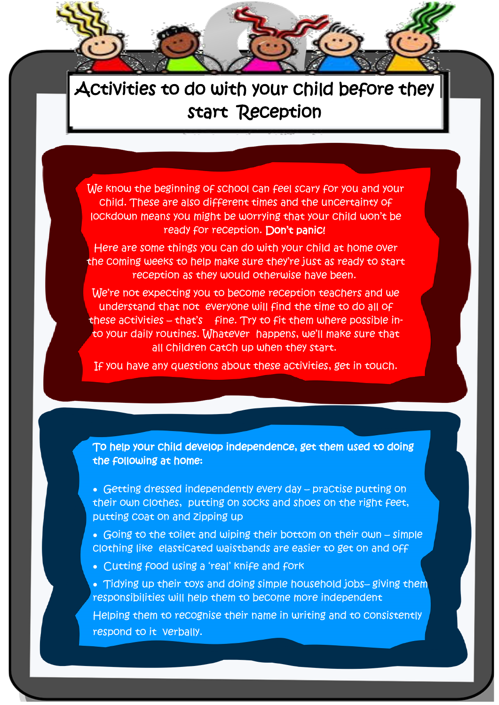## Activities to do with your child before they start Reception

We know the beginning of school can feel scary for you and your child. These are also different times and the uncertainty of lockdown means you might be worrying that your child won't be ready for reception. Don't panic!

Here are some things you can do with your child at home over the coming weeks to help make sure they're just as ready to start reception as they would otherwise have been.

We're not expecting you to become reception teachers and we understand that not everyone will find the time to do all of these activities  $-$  that's fine. Try to fit them where possible into your daily routines. Whatever happens, we'll make sure that all children catch up when they start.

If you have any questions about these activities, get in touch.

To help your child develop independence, get them used to doing the following at home:

- Getting dressed independently every day practise putting on their own clothes, putting on socks and shoes on the right feet, putting coat on and zipping up
- Going to the toilet and wiping their bottom on their own simple clothing like elasticated waistbands are easier to get on and off
- Cutting food using a 'real' knife and fork

l

 Tidying up their toys and doing simple household jobs– giving them responsibilities will help them to become more independent

Helping them to recognise their name in writing and to consistently respond to it verbally.